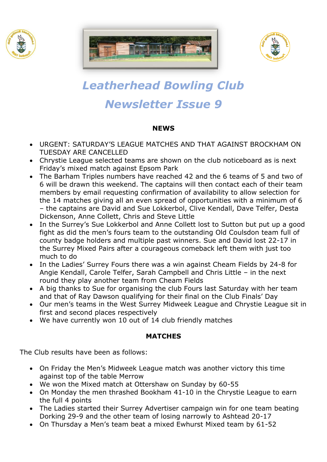





# *Leatherhead Bowling Club Newsletter Issue 9*

#### **NEWS**

- URGENT: SATURDAY'S LEAGUE MATCHES AND THAT AGAINST BROCKHAM ON TUESDAY ARE CANCELLED
- Chrystie League selected teams are shown on the club noticeboard as is next Friday's mixed match against Epsom Park
- The Barham Triples numbers have reached 42 and the 6 teams of 5 and two of 6 will be drawn this weekend. The captains will then contact each of their team members by email requesting confirmation of availability to allow selection for the 14 matches giving all an even spread of opportunities with a minimum of 6 – the captains are David and Sue Lokkerbol, Clive Kendall, Dave Telfer, Desta Dickenson, Anne Collett, Chris and Steve Little
- In the Surrey's Sue Lokkerbol and Anne Collett lost to Sutton but put up a good fight as did the men's fours team to the outstanding Old Coulsdon team full of county badge holders and multiple past winners. Sue and David lost 22-17 in the Surrey Mixed Pairs after a courageous comeback left them with just too much to do
- In the Ladies' Surrey Fours there was a win against Cheam Fields by 24-8 for Angie Kendall, Carole Telfer, Sarah Campbell and Chris Little – in the next round they play another team from Cheam Fields
- A big thanks to Sue for organising the club Fours last Saturday with her team and that of Ray Dawson qualifying for their final on the Club Finals' Day
- Our men's teams in the West Surrey Midweek League and Chrystie League sit in first and second places respectively
- We have currently won 10 out of 14 club friendly matches

### **MATCHES**

The Club results have been as follows:

- On Friday the Men's Midweek League match was another victory this time against top of the table Merrow
- We won the Mixed match at Ottershaw on Sunday by 60-55
- On Monday the men thrashed Bookham 41-10 in the Chrystie League to earn the full 4 points
- The Ladies started their Surrey Advertiser campaign win for one team beating Dorking 29-9 and the other team of losing narrowly to Ashtead 20-17
- On Thursday a Men's team beat a mixed Ewhurst Mixed team by 61-52